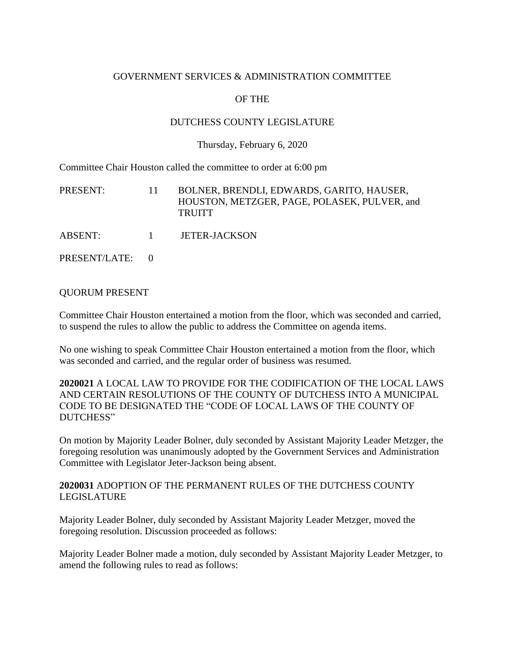## GOVERNMENT SERVICES & ADMINISTRATION COMMITTEE

# OF THE

## DUTCHESS COUNTY LEGISLATURE

#### Thursday, February 6, 2020

Committee Chair Houston called the committee to order at 6:00 pm

| PRESENT:        | -11- | BOLNER, BRENDLI, EDWARDS, GARITO, HAUSER,<br>HOUSTON, METZGER, PAGE, POLASEK, PULVER, and<br><b>TRUITT</b> |
|-----------------|------|------------------------------------------------------------------------------------------------------------|
| ABSENT:         |      | 1 JETER-JACKSON                                                                                            |
| PRESENT/LATE: 0 |      |                                                                                                            |

## QUORUM PRESENT

Committee Chair Houston entertained a motion from the floor, which was seconded and carried, to suspend the rules to allow the public to address the Committee on agenda items.

No one wishing to speak Committee Chair Houston entertained a motion from the floor, which was seconded and carried, and the regular order of business was resumed.

**2020021** A LOCAL LAW TO PROVIDE FOR THE CODIFICATION OF THE LOCAL LAWS AND CERTAIN RESOLUTIONS OF THE COUNTY OF DUTCHESS INTO A MUNICIPAL CODE TO BE DESIGNATED THE "CODE OF LOCAL LAWS OF THE COUNTY OF DUTCHESS"

On motion by Majority Leader Bolner, duly seconded by Assistant Majority Leader Metzger, the foregoing resolution was unanimously adopted by the Government Services and Administration Committee with Legislator Jeter-Jackson being absent.

## **2020031** ADOPTION OF THE PERMANENT RULES OF THE DUTCHESS COUNTY LEGISLATURE

Majority Leader Bolner, duly seconded by Assistant Majority Leader Metzger, moved the foregoing resolution. Discussion proceeded as follows:

Majority Leader Bolner made a motion, duly seconded by Assistant Majority Leader Metzger, to amend the following rules to read as follows: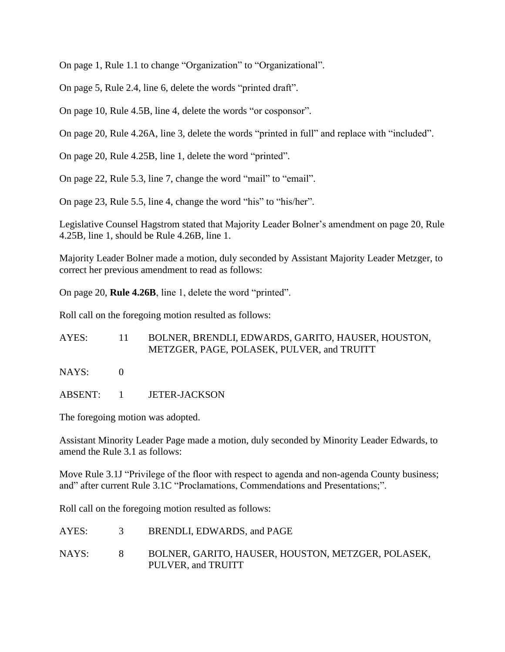On page 1, Rule 1.1 to change "Organization" to "Organizational".

On page 5, Rule 2.4, line 6, delete the words "printed draft".

On page 10, Rule 4.5B, line 4, delete the words "or cosponsor".

On page 20, Rule 4.26A, line 3, delete the words "printed in full" and replace with "included".

On page 20, Rule 4.25B, line 1, delete the word "printed".

On page 22, Rule 5.3, line 7, change the word "mail" to "email".

On page 23, Rule 5.5, line 4, change the word "his" to "his/her".

Legislative Counsel Hagstrom stated that Majority Leader Bolner's amendment on page 20, Rule 4.25B, line 1, should be Rule 4.26B, line 1.

Majority Leader Bolner made a motion, duly seconded by Assistant Majority Leader Metzger, to correct her previous amendment to read as follows:

On page 20, **Rule 4.26B**, line 1, delete the word "printed".

Roll call on the foregoing motion resulted as follows:

AYES: 11 BOLNER, BRENDLI, EDWARDS, GARITO, HAUSER, HOUSTON, METZGER, PAGE, POLASEK, PULVER, and TRUITT

NAYS: 0

ABSENT: 1 JETER-JACKSON

The foregoing motion was adopted.

Assistant Minority Leader Page made a motion, duly seconded by Minority Leader Edwards, to amend the Rule 3.1 as follows:

Move Rule 3.1J "Privilege of the floor with respect to agenda and non-agenda County business; and" after current Rule 3.1C "Proclamations, Commendations and Presentations;".

Roll call on the foregoing motion resulted as follows:

| AYES: | BRENDLI, EDWARDS, and PAGE                                               |
|-------|--------------------------------------------------------------------------|
| NAYS: | BOLNER, GARITO, HAUSER, HOUSTON, METZGER, POLASEK,<br>PULVER, and TRUITT |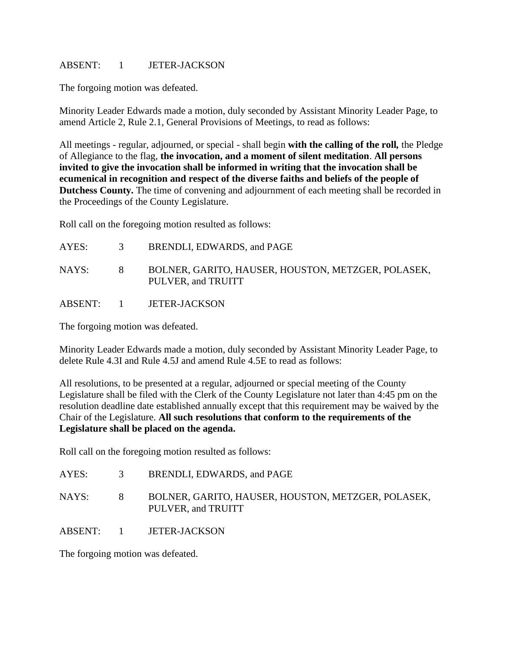## ABSENT: 1 JETER-JACKSON

The forgoing motion was defeated.

Minority Leader Edwards made a motion, duly seconded by Assistant Minority Leader Page, to amend Article 2, Rule 2.1, General Provisions of Meetings, to read as follows:

All meetings - regular, adjourned, or special - shall begin **with the calling of the roll***,* the Pledge of Allegiance to the flag, **the invocation, and a moment of silent meditation**. **All persons invited to give the invocation shall be informed in writing that the invocation shall be ecumenical in recognition and respect of the diverse faiths and beliefs of the people of Dutchess County.** The time of convening and adjournment of each meeting shall be recorded in the Proceedings of the County Legislature.

Roll call on the foregoing motion resulted as follows:

| AYES:   | 3 | BRENDLI, EDWARDS, and PAGE                                               |
|---------|---|--------------------------------------------------------------------------|
| NAYS:   | 8 | BOLNER, GARITO, HAUSER, HOUSTON, METZGER, POLASEK,<br>PULVER, and TRUITT |
| ABSENT: |   | <b>JETER-JACKSON</b>                                                     |

The forgoing motion was defeated.

Minority Leader Edwards made a motion, duly seconded by Assistant Minority Leader Page, to delete Rule 4.3I and Rule 4.5J and amend Rule 4.5E to read as follows:

All resolutions, to be presented at a regular, adjourned or special meeting of the County Legislature shall be filed with the Clerk of the County Legislature not later than 4:45 pm on the resolution deadline date established annually except that this requirement may be waived by the Chair of the Legislature. **All such resolutions that conform to the requirements of the Legislature shall be placed on the agenda.**

Roll call on the foregoing motion resulted as follows:

| AYES:   | 3 | BRENDLI, EDWARDS, and PAGE                                               |
|---------|---|--------------------------------------------------------------------------|
| NAYS:   | X | BOLNER, GARITO, HAUSER, HOUSTON, METZGER, POLASEK,<br>PULVER, and TRUITT |
| ABSENT: |   | 1 JETER-JACKSON                                                          |

The forgoing motion was defeated.